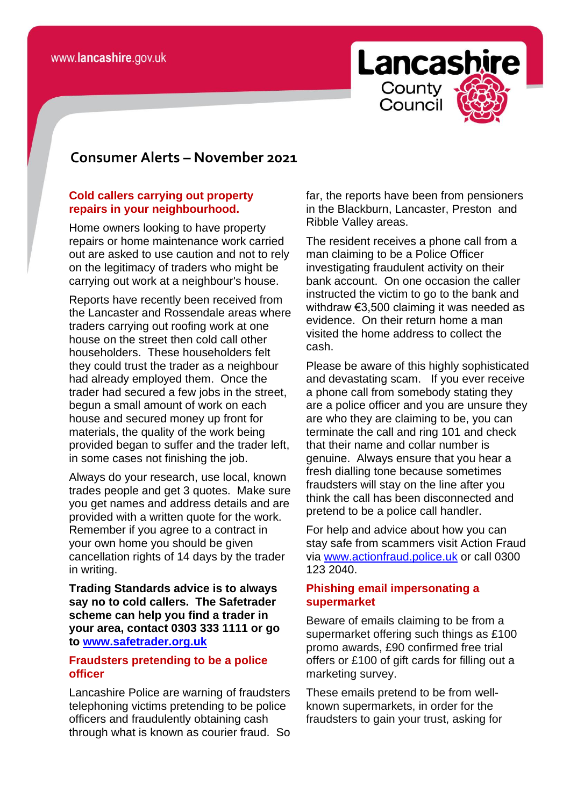

# **consomer Consumer Alerts – November 2021**

#### **Cold callers carrying out property repairs in your neighbourhood.**

Home owners looking to have property repairs or home maintenance work carried out are asked to use caution and not to rely on the legitimacy of traders who might be carrying out work at a neighbour's house.

Reports have recently been received from the Lancaster and Rossendale areas where traders carrying out roofing work at one house on the street then cold call other householders. These householders felt they could trust the trader as a neighbour had already employed them. Once the trader had secured a few jobs in the street, begun a small amount of work on each house and secured money up front for materials, the quality of the work being provided began to suffer and the trader left, in some cases not finishing the job.

Always do your research, use local, known trades people and get 3 quotes. Make sure you get names and address details and are provided with a written quote for the work. Remember if you agree to a contract in your own home you should be given cancellation rights of 14 days by the trader in writing.

**Trading Standards advice is to always say no to cold callers. The Safetrader scheme can help you find a trader in your area, contact 0303 333 1111 or go to [www.safetrader.org.uk](http://www.safetrader.org.uk/)**

#### **Fraudsters pretending to be a police officer**

Lancashire Police are warning of fraudsters telephoning victims pretending to be police officers and fraudulently obtaining cash through what is known as courier fraud. So far, the reports have been from pensioners in the Blackburn, Lancaster, Preston and Ribble Valley areas.

The resident receives a phone call from a man claiming to be a Police Officer investigating fraudulent activity on their bank account. On one occasion the caller instructed the victim to go to the bank and withdraw €3,500 claiming it was needed as evidence. On their return home a man visited the home address to collect the cash.

Please be aware of this highly sophisticated and devastating scam. If you ever receive a phone call from somebody stating they are a police officer and you are unsure they are who they are claiming to be, you can terminate the call and ring 101 and check that their name and collar number is genuine. Always ensure that you hear a fresh dialling tone because sometimes fraudsters will stay on the line after you think the call has been disconnected and pretend to be a police call handler.

For help and advice about how you can stay safe from scammers visit Action Fraud via [www.actionfraud.police.uk](http://www.actionfraud.police.uk/) or call 0300 123 2040.

#### **Phishing email impersonating a supermarket**

Beware of emails claiming to be from a supermarket offering such things as £100 promo awards, £90 confirmed free trial offers or £100 of gift cards for filling out a marketing survey.

These emails pretend to be from wellknown supermarkets, in order for the fraudsters to gain your trust, asking for